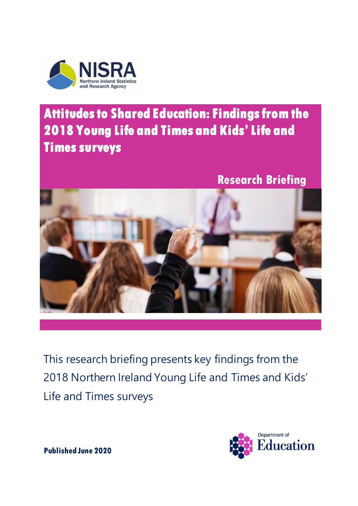

# **Attitudes to Shared Education: Findings from the 2018 Young Life and Times and Kids' Life and Times surveys**

**Research Briefing**



This research briefing presents key findings from the 2018 Northern Ireland Young Life and Times and Kids' Life and Times surveys



**Published June 2020**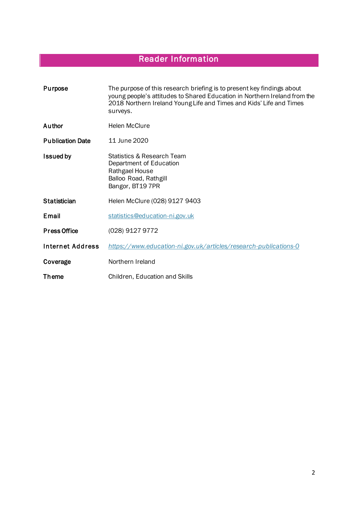## Reader Information

Introduction

| Purpose                 | The purpose of this research briefing is to present key findings about<br>young people's attitudes to Shared Education in Northern Ireland from the<br>2018 Northern Ireland Young Life and Times and Kids' Life and Times<br>surveys. |
|-------------------------|----------------------------------------------------------------------------------------------------------------------------------------------------------------------------------------------------------------------------------------|
| Author                  | Helen McClure                                                                                                                                                                                                                          |
| <b>Publication Date</b> | 11 June 2020                                                                                                                                                                                                                           |
| <b>Issued by</b>        | Statistics & Research Team<br>Department of Education<br>Rathgael House<br>Balloo Road, Rathgill<br>Bangor, BT19 7PR                                                                                                                   |
| <b>Statistician</b>     | Helen McClure (028) 9127 9403                                                                                                                                                                                                          |
| <b>Email</b>            | statistics@education-ni.gov.uk                                                                                                                                                                                                         |
| <b>Press Office</b>     | (028) 9127 9772                                                                                                                                                                                                                        |
| <b>Internet Address</b> | https://www.education-ni.gov.uk/articles/research-publications-0                                                                                                                                                                       |
| Coverage                | Northern Ireland                                                                                                                                                                                                                       |
| Theme                   | Children, Education and Skills                                                                                                                                                                                                         |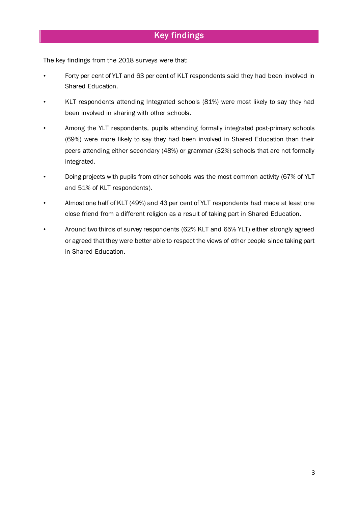The key findings from the 2018 surveys were that:

- Forty per cent of YLT and 63 per cent of KLT respondents said they had been involved in Shared Education.
- KLT respondents attending Integrated schools (81%) were most likely to say they had been involved in sharing with other schools.
- Among the YLT respondents, pupils attending formally integrated post-primary schools (69%) were more likely to say they had been involved in Shared Education than their peers attending either secondary (48%) or grammar (32%) schools that are not formally integrated.
- Doing projects with pupils from other schools was the most common activity (67% of YLT and 51% of KLT respondents).
- Almost one half of KLT (49%) and 43 per cent of YLT respondents had made at least one close friend from a different religion as a result of taking part in Shared Education.
- Around two thirds of survey respondents (62% KLT and 65% YLT) either strongly agreed or agreed that they were better able to respect the views of other people since taking part in Shared Education.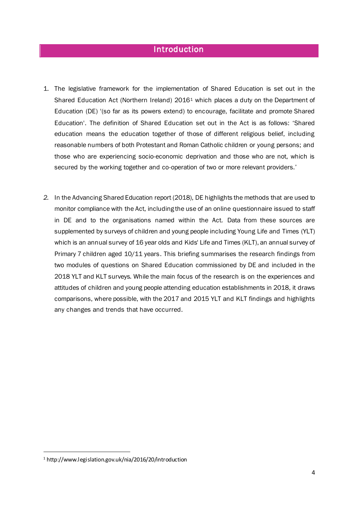#### **Introduction**

- 1. The legislative framework for the implementation of Shared Education is set out in the Shared Education Act (Northern Ireland) 2016<sup>1</sup> which places a duty on the Department of Education (DE) '(so far as its powers extend) to encourage, facilitate and promote Shared Education'. The definition of Shared Education set out in the Act is as follows: 'Shared education means the education together of those of different religious belief, including reasonable numbers of both Protestant and Roman Catholic children or young persons; and those who are experiencing socio-economic deprivation and those who are not, which is secured by the working together and co-operation of two or more relevant providers.'
- *2.* In the Advancing Shared Education report (2018), DE highlights the methods that are used to monitor compliance with the Act, including the use of an online questionnaire issued to staff in DE and to the organisations named within the Act. Data from these sources are supplemented by surveys of children and young people including Young Life and Times (YLT) which is an annual survey of 16 year olds and Kids' Life and Times (KLT), an annual survey of Primary 7 children aged 10/11 years. This briefing summarises the research findings from two modules of questions on Shared Education commissioned by DE and included in the 2018 YLT and KLT surveys. While the main focus of the research is on the experiences and attitudes of children and young people attending education establishments in 2018, it draws comparisons, where possible, with the 2017 and 2015 YLT and KLT findings and highlights any changes and trends that have occurred.

 $\overline{a}$ 

<sup>1</sup> http://www.legislation.gov.uk/nia/2016/20/introduction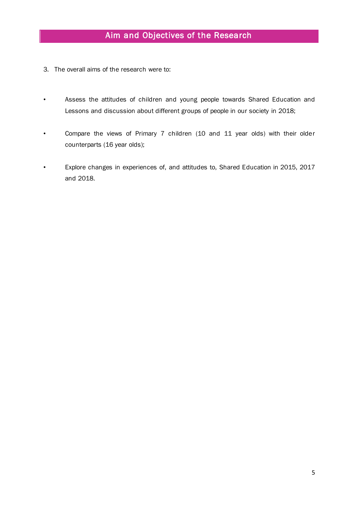- 3. The overall aims of the research were to:
- Assess the attitudes of children and young people towards Shared Education and Lessons and discussion about different groups of people in our society in 2018;
- Compare the views of Primary 7 children (10 and 11 year olds) with their older counterparts (16 year olds);
- Explore changes in experiences of, and attitudes to, Shared Education in 2015, 2017 and 2018.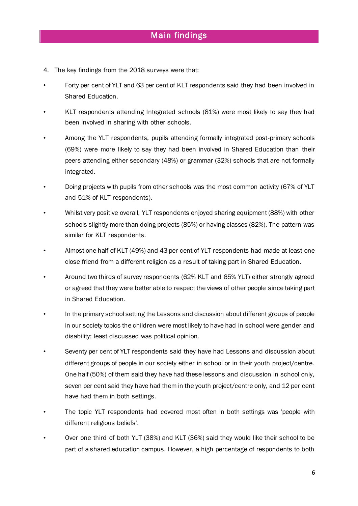- 4. The key findings from the 2018 surveys were that:
- Forty per cent of YLT and 63 per cent of KLT respondents said they had been involved in Shared Education.
- KLT respondents attending Integrated schools (81%) were most likely to say they had been involved in sharing with other schools.
- Among the YLT respondents, pupils attending formally integrated post-primary schools (69%) were more likely to say they had been involved in Shared Education than their peers attending either secondary (48%) or grammar (32%) schools that are not formally integrated.
- Doing projects with pupils from other schools was the most common activity (67% of YLT and 51% of KLT respondents).
- Whilst very positive overall, YLT respondents enjoyed sharing equipment (88%) with other schools slightly more than doing projects (85%) or having classes (82%). The pattern was similar for KLT respondents.
- Almost one half of KLT (49%) and 43 per cent of YLT respondents had made at least one close friend from a different religion as a result of taking part in Shared Education.
- Around two thirds of survey respondents (62% KLT and 65% YLT) either strongly agreed or agreed that they were better able to respect the views of other people since taking part in Shared Education.
- In the primary school setting the Lessons and discussion about different groups of people in our society topics the children were most likely to have had in school were gender and disability; least discussed was political opinion.
- Seventy per cent of YLT respondents said they have had Lessons and discussion about different groups of people in our society either in school or in their youth project/centre. One half (50%) of them said they have had these lessons and discussion in school only, seven per cent said they have had them in the youth project/centre only, and 12 per cent have had them in both settings.
- The topic YLT respondents had covered most often in both settings was 'people with different religious beliefs'.
- Over one third of both YLT (38%) and KLT (36%) said they would like their school to be part of a shared education campus. However, a high percentage of respondents to both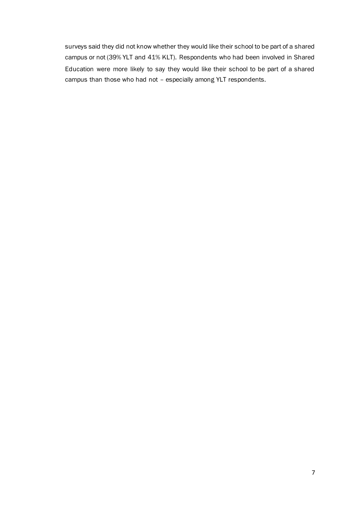surveys said they did not know whether they would like their school to be part of a shared campus or not (39% YLT and 41% KLT). Respondents who had been involved in Shared Education were more likely to say they would like their school to be part of a shared campus than those who had not – especially among YLT respondents.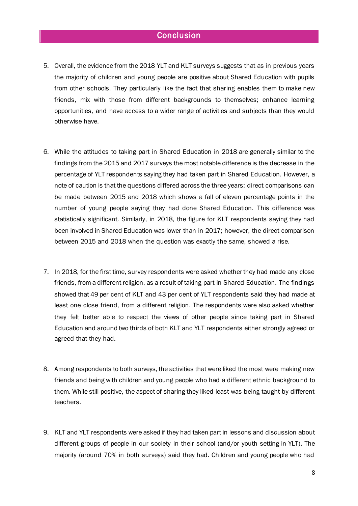#### **Conclusion**

- 5. Overall, the evidence from the 2018 YLT and KLT surveys suggests that as in previous years the majority of children and young people are positive about Shared Education with pupils from other schools. They particularly like the fact that sharing enables them to make new friends, mix with those from different backgrounds to themselves; enhance learning opportunities, and have access to a wider range of activities and subjects than they would otherwise have.
- 6. While the attitudes to taking part in Shared Education in 2018 are generally similar to the findings from the 2015 and 2017 surveys the most notable difference is the decrease in the percentage of YLT respondents saying they had taken part in Shared Education. However, a note of caution is that the questions differed across the three years: direct comparisons can be made between 2015 and 2018 which shows a fall of eleven percentage points in the number of young people saying they had done Shared Education. This difference was statistically significant. Similarly, in 2018, the figure for KLT respondents saying they had been involved in Shared Education was lower than in 2017; however, the direct comparison between 2015 and 2018 when the question was exactly the same, showed a rise.
- 7. In 2018, for the first time, survey respondents were asked whether they had made any close friends, from a different religion, as a result of taking part in Shared Education. The findings showed that 49 per cent of KLT and 43 per cent of YLT respondents said they had made at least one close friend, from a different religion. The respondents were also asked whether they felt better able to respect the views of other people since taking part in Shared Education and around two thirds of both KLT and YLT respondents either strongly agreed or agreed that they had.
- 8. Among respondents to both surveys, the activities that were liked the most were making new friends and being with children and young people who had a different ethnic background to them. While still positive, the aspect of sharing they liked least was being taught by different teachers.
- 9. KLT and YLT respondents were asked if they had taken part in lessons and discussion about different groups of people in our society in their school (and/or youth setting in YLT). The majority (around 70% in both surveys) said they had. Children and young people who had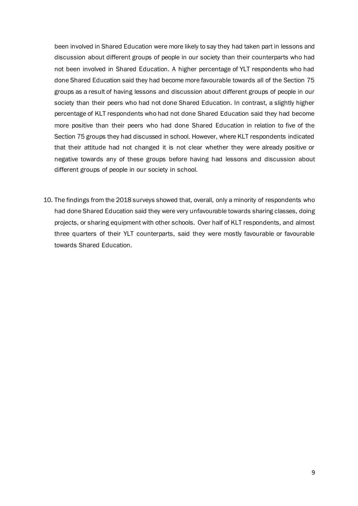been involved in Shared Education were more likely to say they had taken part in lessons and discussion about different groups of people in our society than their counterparts who had not been involved in Shared Education. A higher percentage of YLT respondents who had done Shared Education said they had become more favourable towards all of the Section 75 groups as a result of having lessons and discussion about different groups of people in our society than their peers who had not done Shared Education. In contrast, a slightly higher percentage of KLT respondents who had not done Shared Education said they had become more positive than their peers who had done Shared Education in relation to five of the Section 75 groups they had discussed in school. However, where KLT respondents indicated that their attitude had not changed it is not clear whether they were already positive or negative towards any of these groups before having had lessons and discussion about different groups of people in our society in school.

10. The findings from the 2018 surveys showed that, overall, only a minority of respondents who had done Shared Education said they were very unfavourable towards sharing classes, doing projects, or sharing equipment with other schools. Over half of KLT respondents, and almost three quarters of their YLT counterparts, said they were mostly favourable or favourable towards Shared Education.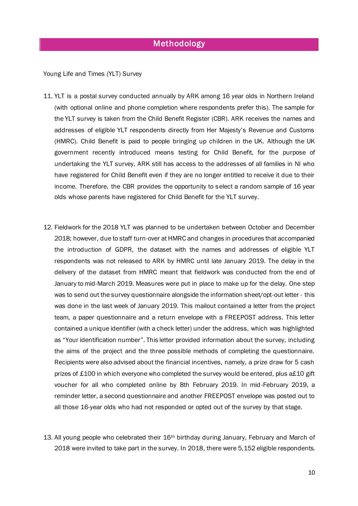### Methodology

Young Life and Times (YLT) Survey

- 11. YLT is a postal survey conducted annually by ARK among 16 year olds in Northern Ireland (with optional online and phone completion where respondents prefer this). The sample for the YLT survey is taken from the Child Benefit Register (CBR). ARK receives the names and addresses of eligible YLT respondents directly from Her Majesty's Revenue and Customs (HMRC). Child Benefit is paid to people bringing up children in the UK. Although the UK government recently introduced means testing for Child Benefit, for the purpose of undertaking the YLT survey, ARK still has access to the addresses of all families in NI who have registered for Child Benefit even if they are no longer entitled to receive it due to their income. Therefore, the CBR provides the opportunity to select a random sample of 16 year olds whose parents have registered for Child Benefit for the YLT survey.
- 12. Fieldwork for the 2018 YLT was planned to be undertaken between October and December 2018; however, due to staff turn-over at HMRC and changes in procedures that accompanied the introduction of GDPR, the dataset with the names and addresses of eligible YLT respondents was not released to ARK by HMRC until late January 2019. The delay in the delivery of the dataset from HMRC meant that fieldwork was conducted from the end of January to mid-March 2019. Measures were put in place to make up for the delay. One step was to send out the survey questionnaire alongside the information sheet/opt-out letter - this was done in the last week of January 2019. This mailout contained a letter from the project team, a paper questionnaire and a return envelope with a FREEPOST address. This letter contained a unique identifier (with a check letter) under the address, which was highlighted as "Your identification number". This letter provided information about the survey, including the aims of the project and the three possible methods of completing the questionnaire. Recipients were also advised about the financial incentives, namely, a prize draw for 5 cash prizes of £100 in which everyone who completed the survey would be entered, plus a£10 gift voucher for all who completed online by 8th February 2019. In mid-February 2019, a reminder letter, a second questionnaire and another FREEPOST envelope was posted out to all those 16-year olds who had not responded or opted out of the survey by that stage.
- 13. All young people who celebrated their  $16<sup>th</sup>$  birthday during January, February and March of 2018 were invited to take part in the survey. In 2018, there were 5,152 eligible respondents.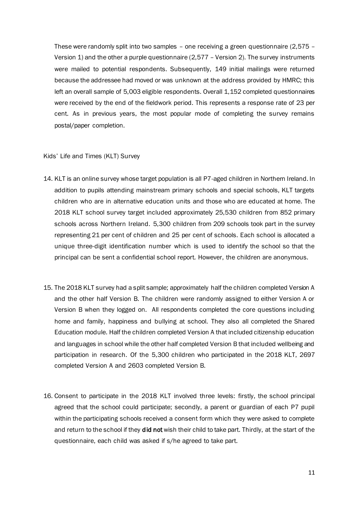These were randomly split into two samples – one receiving a green questionnaire (2,575 – Version 1) and the other a purple questionnaire (2,577 – Version 2). The survey instruments were mailed to potential respondents. Subsequently, 149 initial mailings were returned because the addressee had moved or was unknown at the address provided by HMRC; this left an overall sample of 5,003 eligible respondents. Overall 1,152 completed questionnaires were received by the end of the fieldwork period. This represents a response rate of 23 per cent. As in previous years, the most popular mode of completing the survey remains postal/paper completion.

#### Kids' Life and Times (KLT) Survey

- 14. KLT is an online survey whose target population is all P7-aged children in Northern Ireland. In addition to pupils attending mainstream primary schools and special schools, KLT targets children who are in alternative education units and those who are educated at home. The 2018 KLT school survey target included approximately 25,530 children from 852 primary schools across Northern Ireland. 5,300 children from 209 schools took part in the survey representing 21 per cent of children and 25 per cent of schools. Each school is allocated a unique three-digit identification number which is used to identify the school so that the principal can be sent a confidential school report. However, the children are anonymous.
- 15. The 2018 KLT survey had a split sample; approximately half the children completed Version A and the other half Version B. The children were randomly assigned to either Version A or Version B when they logged on. All respondents completed the core questions including home and family, happiness and bullying at school. They also all completed the Shared Education module. Half the children completed Version A that included citizenship education and languages in school while the other half completed Version B that included wellbeing and participation in research. Of the 5,300 children who participated in the 2018 KLT, 2697 completed Version A and 2603 completed Version B.
- 16. Consent to participate in the 2018 KLT involved three levels: firstly, the school principal agreed that the school could participate; secondly, a parent or guardian of each P7 pupil within the participating schools received a consent form which they were asked to complete and return to the school if they **did not** wish their child to take part. Thirdly, at the start of the questionnaire, each child was asked if s/he agreed to take part.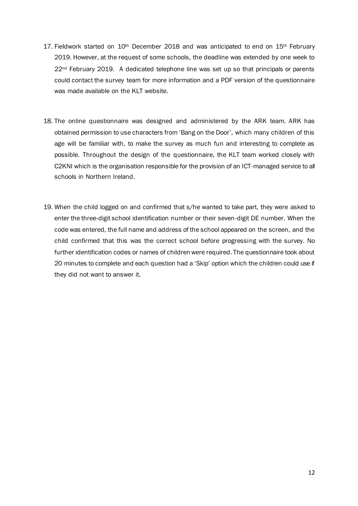- 17. Fieldwork started on 10<sup>th</sup> December 2018 and was anticipated to end on 15<sup>th</sup> February 2019. However, at the request of some schools, the deadline was extended by one week to 22<sup>nd</sup> February 2019. A dedicated telephone line was set up so that principals or parents could contact the survey team for more information and a PDF version of the questionnaire was made available on the KLT website.
- 18. The online questionnaire was designed and administered by the ARK team. ARK has obtained permission to use characters from 'Bang on the Door', which many children of this age will be familiar with, to make the survey as much fun and interesting to complete as possible. Throughout the design of the questionnaire, the KLT team worked closely with C2KNI which is the organisation responsible for the provision of an ICT-managed service to all schools in Northern Ireland.
- 19. When the child logged on and confirmed that s/he wanted to take part, they were asked to enter the three-digit school identification number or their seven-digit DE number. When the code was entered, the full name and address of the school appeared on the screen, and the child confirmed that this was the correct school before progressing with the survey. No further identification codes or names of children were required. The questionnaire took about 20 minutes to complete and each question had a 'Skip' option which the children could use if they did not want to answer it.